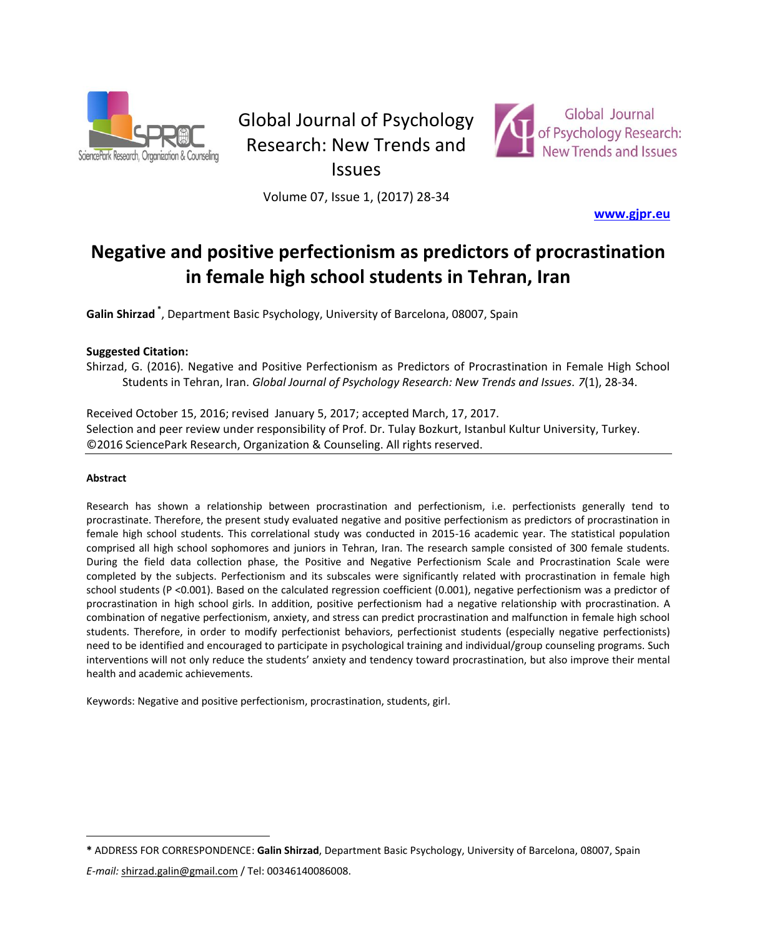

# Global Journal of Psychology Research: New Trends and



Issues

Volume 07, Issue 1, (2017) 28-34

**[www.gjpr.eu](http://www.gjpr.eu/)**

# **Negative and positive perfectionism as predictors of procrastination in female high school students in Tehran, Iran**

**Galin Shirzad \*** , Department Basic Psychology, University of Barcelona, 08007, Spain

# **Suggested Citation:**

Shirzad, G. (2016). Negative and Positive Perfectionism as Predictors of Procrastination in Female High School Students in Tehran, Iran. *Global Journal of Psychology Research: New Trends and Issues. 7*(1), 28-34.

Received October 15, 2016; revised January 5, 2017; accepted March, 17, 2017. Selection and peer review under responsibility of Prof. Dr. Tulay Bozkurt, Istanbul Kultur University, Turkey. ©2016 SciencePark Research, Organization & Counseling. All rights reserved.

#### **Abstract**

 $\overline{a}$ 

Research has shown a relationship between procrastination and perfectionism, i.e. perfectionists generally tend to procrastinate. Therefore, the present study evaluated negative and positive perfectionism as predictors of procrastination in female high school students. This correlational study was conducted in 2015-16 academic year. The statistical population comprised all high school sophomores and juniors in Tehran, Iran. The research sample consisted of 300 female students. During the field data collection phase, the Positive and Negative Perfectionism Scale and Procrastination Scale were completed by the subjects. Perfectionism and its subscales were significantly related with procrastination in female high school students (P <0.001). Based on the calculated regression coefficient (0.001), negative perfectionism was a predictor of procrastination in high school girls. In addition, positive perfectionism had a negative relationship with procrastination. A combination of negative perfectionism, anxiety, and stress can predict procrastination and malfunction in female high school students. Therefore, in order to modify perfectionist behaviors, perfectionist students (especially negative perfectionists) need to be identified and encouraged to participate in psychological training and individual/group counseling programs. Such interventions will not only reduce the students' anxiety and tendency toward procrastination, but also improve their mental health and academic achievements.

Keywords: Negative and positive perfectionism, procrastination, students, girl.

*E-mail:* shirzad.galin@gmail.com / Tel: 00346140086008.

**<sup>\*</sup>** ADDRESS FOR CORRESPONDENCE: **Galin Shirzad**, Department Basic Psychology, University of Barcelona, 08007, Spain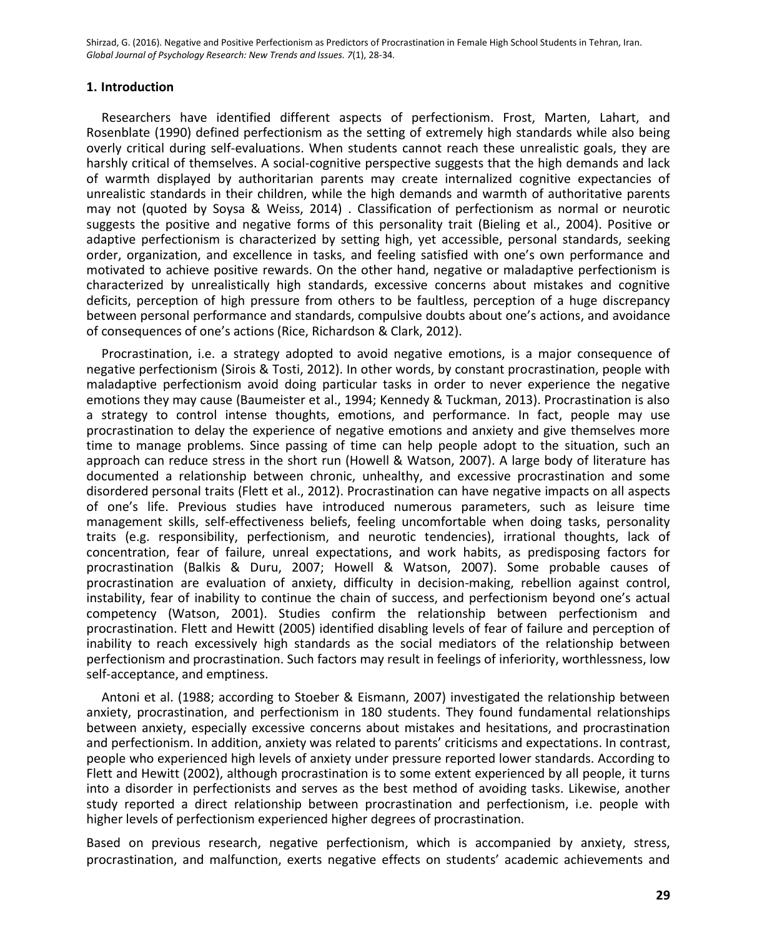#### **1. Introduction**

Researchers have identified different aspects of perfectionism. Frost, Marten, Lahart, and Rosenblate (1990) defined perfectionism as the setting of extremely high standards while also being overly critical during self-evaluations. When students cannot reach these unrealistic goals, they are harshly critical of themselves. A social-cognitive perspective suggests that the high demands and lack of warmth displayed by authoritarian parents may create internalized cognitive expectancies of unrealistic standards in their children, while the high demands and warmth of authoritative parents may not (quoted by Soysa & Weiss, 2014) . Classification of perfectionism as normal or neurotic suggests the positive and negative forms of this personality trait (Bieling et al., 2004). Positive or adaptive perfectionism is characterized by setting high, yet accessible, personal standards, seeking order, organization, and excellence in tasks, and feeling satisfied with one's own performance and motivated to achieve positive rewards. On the other hand, negative or maladaptive perfectionism is characterized by unrealistically high standards, excessive concerns about mistakes and cognitive deficits, perception of high pressure from others to be faultless, perception of a huge discrepancy between personal performance and standards, compulsive doubts about one's actions, and avoidance of consequences of one's actions (Rice, Richardson & Clark, 2012).

Procrastination, i.e. a strategy adopted to avoid negative emotions, is a major consequence of negative perfectionism (Sirois & Tosti, 2012). In other words, by constant procrastination, people with maladaptive perfectionism avoid doing particular tasks in order to never experience the negative emotions they may cause (Baumeister et al., 1994; Kennedy & Tuckman, 2013). Procrastination is also a strategy to control intense thoughts, emotions, and performance. In fact, people may use procrastination to delay the experience of negative emotions and anxiety and give themselves more time to manage problems. Since passing of time can help people adopt to the situation, such an approach can reduce stress in the short run (Howell & Watson, 2007). A large body of literature has documented a relationship between chronic, unhealthy, and excessive procrastination and some disordered personal traits (Flett et al., 2012). Procrastination can have negative impacts on all aspects of one's life. Previous studies have introduced numerous parameters, such as leisure time management skills, self-effectiveness beliefs, feeling uncomfortable when doing tasks, personality traits (e.g. responsibility, perfectionism, and neurotic tendencies), irrational thoughts, lack of concentration, fear of failure, unreal expectations, and work habits, as predisposing factors for procrastination (Balkis & Duru, 2007; Howell & Watson, 2007). Some probable causes of procrastination are evaluation of anxiety, difficulty in decision-making, rebellion against control, instability, fear of inability to continue the chain of success, and perfectionism beyond one's actual competency (Watson, 2001). Studies confirm the relationship between perfectionism and procrastination. Flett and Hewitt (2005) identified disabling levels of fear of failure and perception of inability to reach excessively high standards as the social mediators of the relationship between perfectionism and procrastination. Such factors may result in feelings of inferiority, worthlessness, low self-acceptance, and emptiness.

Antoni et al. (1988; according to Stoeber & Eismann, 2007) investigated the relationship between anxiety, procrastination, and perfectionism in 180 students. They found fundamental relationships between anxiety, especially excessive concerns about mistakes and hesitations, and procrastination and perfectionism. In addition, anxiety was related to parents' criticisms and expectations. In contrast, people who experienced high levels of anxiety under pressure reported lower standards. According to Flett and Hewitt (2002), although procrastination is to some extent experienced by all people, it turns into a disorder in perfectionists and serves as the best method of avoiding tasks. Likewise, another study reported a direct relationship between procrastination and perfectionism, i.e. people with higher levels of perfectionism experienced higher degrees of procrastination.

Based on previous research, negative perfectionism, which is accompanied by anxiety, stress, procrastination, and malfunction, exerts negative effects on students' academic achievements and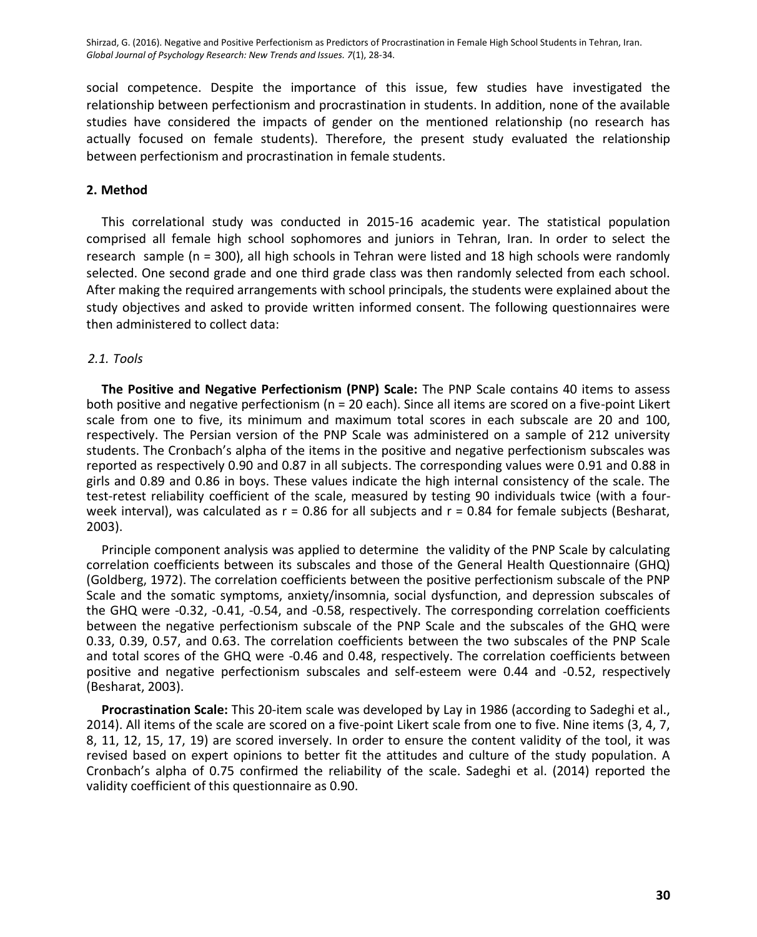social competence. Despite the importance of this issue, few studies have investigated the relationship between perfectionism and procrastination in students. In addition, none of the available studies have considered the impacts of gender on the mentioned relationship (no research has actually focused on female students). Therefore, the present study evaluated the relationship between perfectionism and procrastination in female students.

#### **2. Method**

This correlational study was conducted in 2015-16 academic year. The statistical population comprised all female high school sophomores and juniors in Tehran, Iran. In order to select the research sample (n = 300), all high schools in Tehran were listed and 18 high schools were randomly selected. One second grade and one third grade class was then randomly selected from each school. After making the required arrangements with school principals, the students were explained about the study objectives and asked to provide written informed consent. The following questionnaires were then administered to collect data:

# *2.1. Tools*

**The Positive and Negative Perfectionism (PNP) Scale:** The PNP Scale contains 40 items to assess both positive and negative perfectionism (n = 20 each). Since all items are scored on a five-point Likert scale from one to five, its minimum and maximum total scores in each subscale are 20 and 100, respectively. The Persian version of the PNP Scale was administered on a sample of 212 university students. The Cronbach's alpha of the items in the positive and negative perfectionism subscales was reported as respectively 0.90 and 0.87 in all subjects. The corresponding values were 0.91 and 0.88 in girls and 0.89 and 0.86 in boys. These values indicate the high internal consistency of the scale. The test-retest reliability coefficient of the scale, measured by testing 90 individuals twice (with a fourweek interval), was calculated as  $r = 0.86$  for all subjects and  $r = 0.84$  for female subjects (Besharat, 2003).

Principle component analysis was applied to determine the validity of the PNP Scale by calculating correlation coefficients between its subscales and those of the General Health Questionnaire (GHQ) (Goldberg, 1972). The correlation coefficients between the positive perfectionism subscale of the PNP Scale and the somatic symptoms, anxiety/insomnia, social dysfunction, and depression subscales of the GHQ were -0.32, -0.41, -0.54, and -0.58, respectively. The corresponding correlation coefficients between the negative perfectionism subscale of the PNP Scale and the subscales of the GHQ were 0.33, 0.39, 0.57, and 0.63. The correlation coefficients between the two subscales of the PNP Scale and total scores of the GHQ were -0.46 and 0.48, respectively. The correlation coefficients between positive and negative perfectionism subscales and self-esteem were 0.44 and -0.52, respectively (Besharat, 2003).

**Procrastination Scale:** This 20-item scale was developed by Lay in 1986 (according to Sadeghi et al., 2014). All items of the scale are scored on a five-point Likert scale from one to five. Nine items (3, 4, 7, 8, 11, 12, 15, 17, 19) are scored inversely. In order to ensure the content validity of the tool, it was revised based on expert opinions to better fit the attitudes and culture of the study population. A Cronbach's alpha of 0.75 confirmed the reliability of the scale. Sadeghi et al. (2014) reported the validity coefficient of this questionnaire as 0.90.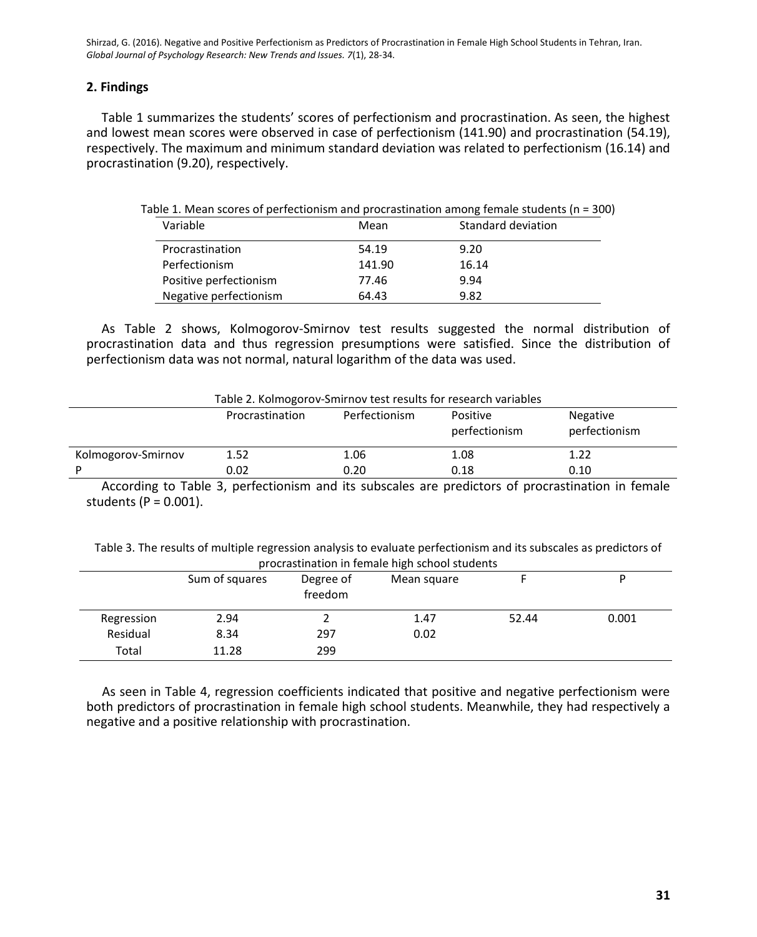#### **2. Findings**

Table 1 summarizes the students' scores of perfectionism and procrastination. As seen, the highest and lowest mean scores were observed in case of perfectionism (141.90) and procrastination (54.19), respectively. The maximum and minimum standard deviation was related to perfectionism (16.14) and procrastination (9.20), respectively.

| Variable               | Mean   | Standard deviation |
|------------------------|--------|--------------------|
| Procrastination        | 54.19  | 9.20               |
| Perfectionism          | 141.90 | 16.14              |
| Positive perfectionism | 77.46  | 9.94               |
| Negative perfectionism | 64.43  | 9.82               |

As Table 2 shows, Kolmogorov-Smirnov test results suggested the normal distribution of procrastination data and thus regression presumptions were satisfied. Since the distribution of perfectionism data was not normal, natural logarithm of the data was used.

| Table 2. Kolmogorov-Smirnov test results for research variables |                 |               |                           |                           |  |  |
|-----------------------------------------------------------------|-----------------|---------------|---------------------------|---------------------------|--|--|
|                                                                 | Procrastination | Perfectionism | Positive<br>perfectionism | Negative<br>perfectionism |  |  |
| Kolmogorov-Smirnov                                              | 1.52            | 1.06          | 1.08                      | 1.22                      |  |  |
| D                                                               | 0.02            | 0.20          | 0.18                      | 0.10                      |  |  |

According to Table 3, perfectionism and its subscales are predictors of procrastination in female students ( $P = 0.001$ ).

Table 3. The results of multiple regression analysis to evaluate perfectionism and its subscales as predictors of procrastination in female high school students

|            |                |                      | . .         |       |       |
|------------|----------------|----------------------|-------------|-------|-------|
|            | Sum of squares | Degree of<br>freedom | Mean square |       |       |
| Regression | 2.94           |                      | 1.47        | 52.44 | 0.001 |
| Residual   | 8.34           | 297                  | 0.02        |       |       |
| Total      | 11.28          | 299                  |             |       |       |

As seen in Table 4, regression coefficients indicated that positive and negative perfectionism were both predictors of procrastination in female high school students. Meanwhile, they had respectively a negative and a positive relationship with procrastination.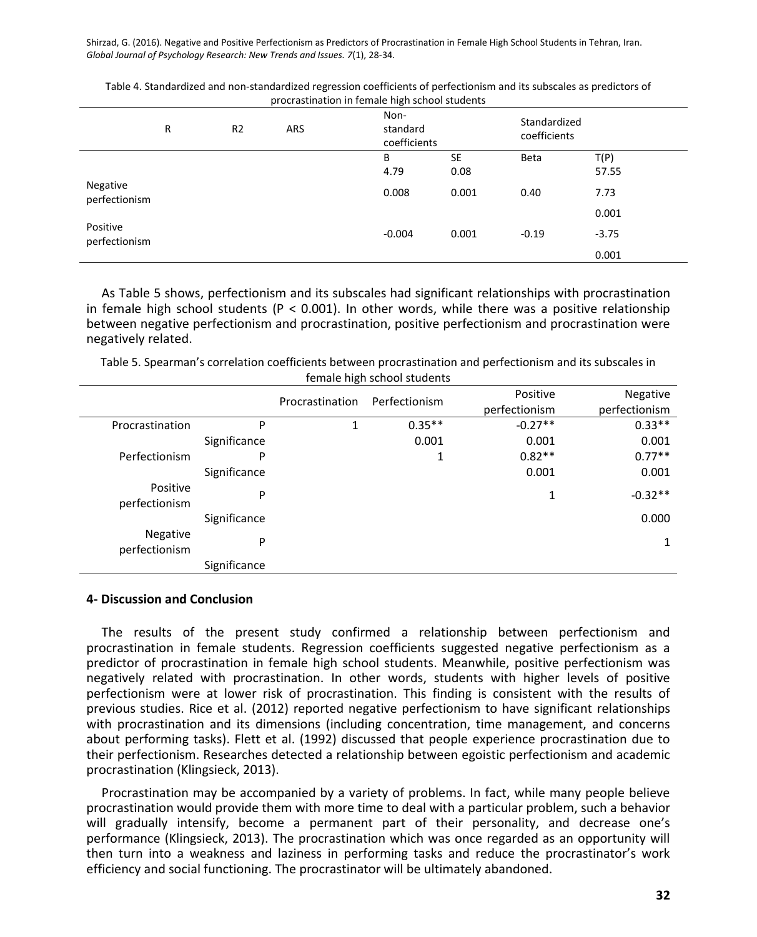|                           | R | R <sub>2</sub> | ARS | procrastmation in remare might scribbi students<br>Non-<br>standard<br>coefficients |            | Standardized<br>coefficients |               |  |
|---------------------------|---|----------------|-----|-------------------------------------------------------------------------------------|------------|------------------------------|---------------|--|
|                           |   |                |     | B<br>4.79                                                                           | SE<br>0.08 | <b>Beta</b>                  | T(P)<br>57.55 |  |
| Negative<br>perfectionism |   |                |     | 0.008                                                                               | 0.001      | 0.40                         | 7.73<br>0.001 |  |
| Positive<br>perfectionism |   |                |     | $-0.004$                                                                            | 0.001      | $-0.19$                      | $-3.75$       |  |
|                           |   |                |     |                                                                                     |            |                              | 0.001         |  |

Table 4. Standardized and non-standardized regression coefficients of perfectionism and its subscales as predictors of procrastination in female high school students

As Table 5 shows, perfectionism and its subscales had significant relationships with procrastination in female high school students ( $P < 0.001$ ). In other words, while there was a positive relationship between negative perfectionism and procrastination, positive perfectionism and procrastination were negatively related.

Table 5. Spearman's correlation coefficients between procrastination and perfectionism and its subscales in female high school students

|                           |              | -               |               |                           |                           |
|---------------------------|--------------|-----------------|---------------|---------------------------|---------------------------|
|                           |              | Procrastination | Perfectionism | Positive<br>perfectionism | Negative<br>perfectionism |
| Procrastination           | P            |                 | $0.35**$      | $-0.27**$                 | $0.33***$                 |
|                           | Significance |                 | 0.001         | 0.001                     | 0.001                     |
| Perfectionism             | P            |                 | Ŧ             | $0.82**$                  | $0.77**$                  |
|                           | Significance |                 |               | 0.001                     | 0.001                     |
| Positive<br>perfectionism | P            |                 |               | 1                         | $-0.32**$                 |
|                           | Significance |                 |               |                           | 0.000                     |
| Negative<br>perfectionism | P            |                 |               |                           | 1                         |
|                           | Significance |                 |               |                           |                           |

#### **4- Discussion and Conclusion**

The results of the present study confirmed a relationship between perfectionism and procrastination in female students. Regression coefficients suggested negative perfectionism as a predictor of procrastination in female high school students. Meanwhile, positive perfectionism was negatively related with procrastination. In other words, students with higher levels of positive perfectionism were at lower risk of procrastination. This finding is consistent with the results of previous studies. Rice et al. (2012) reported negative perfectionism to have significant relationships with procrastination and its dimensions (including concentration, time management, and concerns about performing tasks). Flett et al. (1992) discussed that people experience procrastination due to their perfectionism. Researches detected a relationship between egoistic perfectionism and academic procrastination (Klingsieck, 2013).

Procrastination may be accompanied by a variety of problems. In fact, while many people believe procrastination would provide them with more time to deal with a particular problem, such a behavior will gradually intensify, become a permanent part of their personality, and decrease one's performance (Klingsieck, 2013). The procrastination which was once regarded as an opportunity will then turn into a weakness and laziness in performing tasks and reduce the procrastinator's work efficiency and social functioning. The procrastinator will be ultimately abandoned.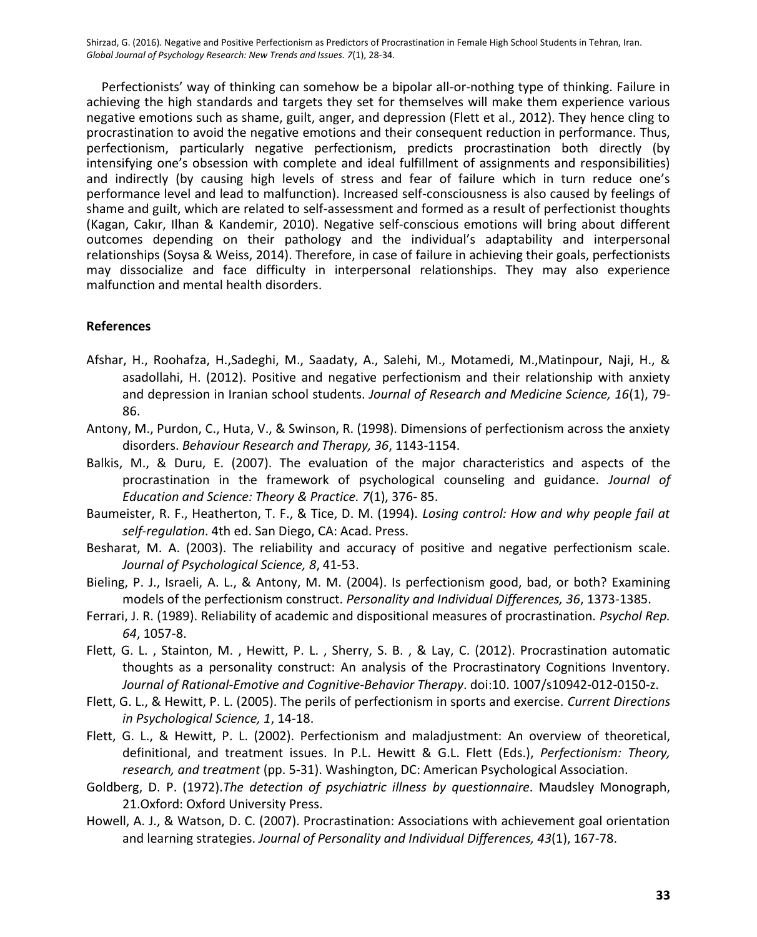Perfectionists' way of thinking can somehow be a bipolar all-or-nothing type of thinking. Failure in achieving the high standards and targets they set for themselves will make them experience various negative emotions such as shame, guilt, anger, and depression (Flett et al., 2012). They hence cling to procrastination to avoid the negative emotions and their consequent reduction in performance. Thus, perfectionism, particularly negative perfectionism, predicts procrastination both directly (by intensifying one's obsession with complete and ideal fulfillment of assignments and responsibilities) and indirectly (by causing high levels of stress and fear of failure which in turn reduce one's performance level and lead to malfunction). Increased self-consciousness is also caused by feelings of shame and guilt, which are related to self-assessment and formed as a result of perfectionist thoughts (Kagan, Cakır, Ilhan & Kandemir, 2010). Negative self-conscious emotions will bring about different outcomes depending on their pathology and the individual's adaptability and interpersonal relationships (Soysa & Weiss, 2014). Therefore, in case of failure in achieving their goals, perfectionists may dissocialize and face difficulty in interpersonal relationships. They may also experience malfunction and mental health disorders.

# **References**

- Afshar, H., Roohafza, H.,Sadeghi, M., Saadaty, A., Salehi, M., Motamedi, M.,Matinpour, Naji, H., & asadollahi, H. (2012). Positive and negative perfectionism and their relationship with anxiety and depression in Iranian school students. *Journal of Research and Medicine Science, 16*(1), 79- 86.
- Antony, M., Purdon, C., Huta, V., & Swinson, R. (1998). Dimensions of perfectionism across the anxiety disorders. *Behaviour Research and Therapy, 36*, 1143-1154.
- Balkis, M., & Duru, E. (2007). The evaluation of the major characteristics and aspects of the procrastination in the framework of psychological counseling and guidance. *Journal of Education and Science: Theory & Practice. 7*(1), 376- 85.
- Baumeister, R. F., Heatherton, T. F., & Tice, D. M. (1994). *Losing control: How and why people fail at self-regulation*. 4th ed. San Diego, CA: Acad. Press.
- Besharat, M. A. (2003). The reliability and accuracy of positive and negative perfectionism scale. *Journal of Psychological Science, 8*, 41-53.
- Bieling, P. J., Israeli, A. L., & Antony, M. M. (2004). Is perfectionism good, bad, or both? Examining models of the perfectionism construct. *Personality and Individual Differences, 36*, 1373-1385.
- Ferrari, J. R. (1989). Reliability of academic and dispositional measures of procrastination. *Psychol Rep. 64*, 1057-8.
- Flett, G. L. , Stainton, M. , Hewitt, P. L. , Sherry, S. B. , & Lay, C. (2012). Procrastination automatic thoughts as a personality construct: An analysis of the Procrastinatory Cognitions Inventory. *Journal of Rational-Emotive and Cognitive-Behavior Therapy*. doi:10. 1007/s10942-012-0150-z.
- Flett, G. L., & Hewitt, P. L. (2005). The perils of perfectionism in sports and exercise. *Current Directions in Psychological Science, 1*, 14-18.
- Flett, G. L., & Hewitt, P. L. (2002). Perfectionism and maladjustment: An overview of theoretical, definitional, and treatment issues. In P.L. Hewitt & G.L. Flett (Eds.), *Perfectionism: Theory, research, and treatment* (pp. 5-31). Washington, DC: American Psychological Association.
- Goldberg, D. P. (1972).*The detection of psychiatric illness by questionnaire*. Maudsley Monograph, 21.Oxford: Oxford University Press.
- Howell, A. J., & Watson, D. C. (2007). Procrastination: Associations with achievement goal orientation and learning strategies. *Journal of Personality and Individual Differences, 43*(1), 167-78.